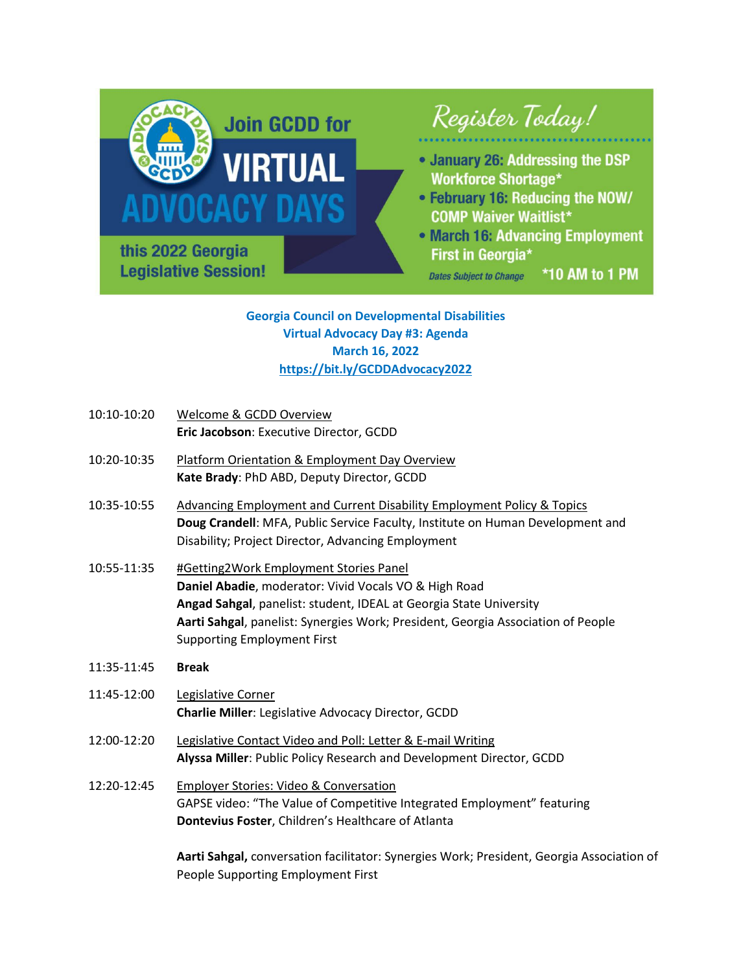

**Georgia Council on Developmental Disabilities Virtual Advocacy Day #3: Agenda March 16, 2022 <https://bit.ly/GCDDAdvocacy2022>**

- 10:10-10:20 Welcome & GCDD Overview **Eric Jacobson**: Executive Director, GCDD
- 10:20-10:35 Platform Orientation & Employment Day Overview **Kate Brady**: PhD ABD, Deputy Director, GCDD
- 10:35-10:55 Advancing Employment and Current Disability Employment Policy & Topics **Doug Crandell**: MFA, Public Service Faculty, Institute on Human Development and Disability; Project Director, Advancing Employment
- 10:55-11:35 #Getting2Work Employment Stories Panel **Daniel Abadie**, moderator: Vivid Vocals VO & High Road **Angad Sahgal**, panelist: student, IDEAL at Georgia State University **Aarti Sahgal**, panelist: Synergies Work; President, Georgia Association of People Supporting Employment First
- 11:35-11:45 **Break**
- 11:45-12:00 Legislative Corner **Charlie Miller**: Legislative Advocacy Director, GCDD
- 12:00-12:20 Legislative Contact Video and Poll: Letter & E-mail Writing **Alyssa Miller**: Public Policy Research and Development Director, GCDD
- 12:20-12:45 Employer Stories: Video & Conversation GAPSE video: "The Value of Competitive Integrated Employment" featuring **Dontevius Foster**, Children's Healthcare of Atlanta

**Aarti Sahgal,** conversation facilitator: Synergies Work; President, Georgia Association of People Supporting Employment First